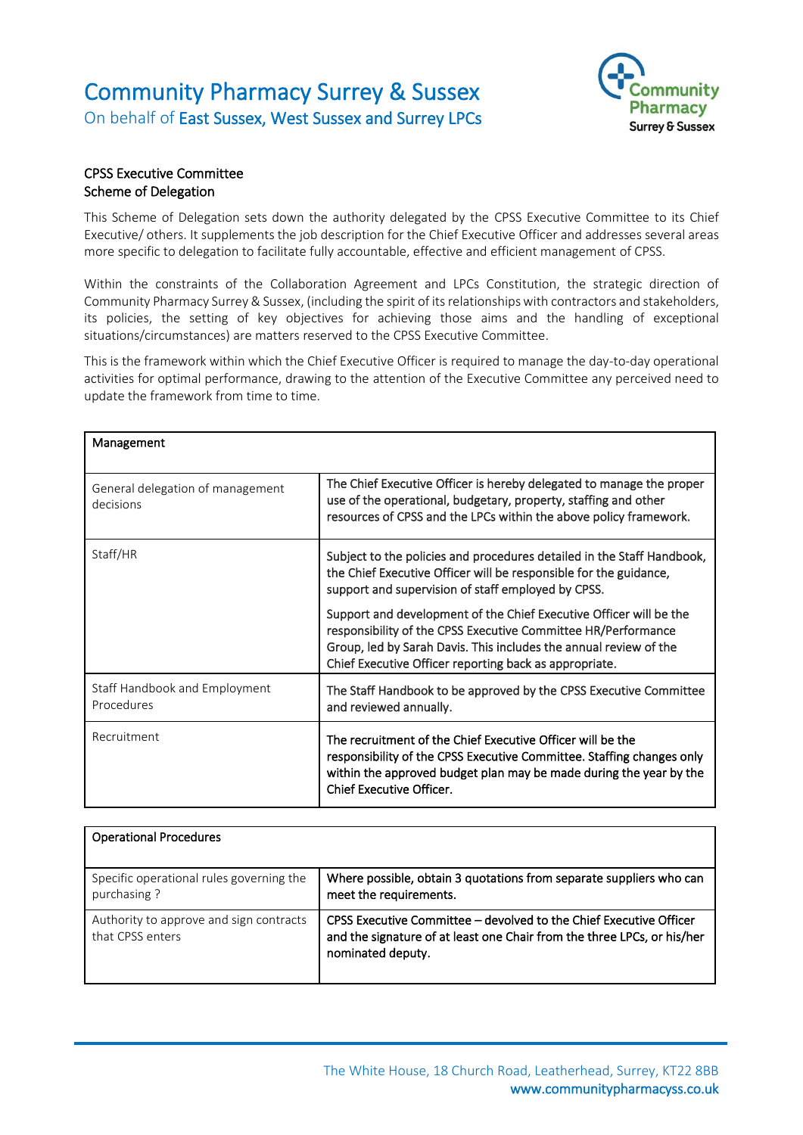## Community Pharmacy Surrey & Sussex On behalf of East Sussex, West Sussex and Surrey LPCs



## CPSS Executive Committee Scheme of Delegation

This Scheme of Delegation sets down the authority delegated by the CPSS Executive Committee to its Chief Executive/ others. It supplements the job description for the Chief Executive Officer and addresses several areas more specific to delegation to facilitate fully accountable, effective and efficient management of CPSS.

Within the constraints of the Collaboration Agreement and LPCs Constitution, the strategic direction of Community Pharmacy Surrey & Sussex, (including the spirit of its relationships with contractors and stakeholders, its policies, the setting of key objectives for achieving those aims and the handling of exceptional situations/circumstances) are matters reserved to the CPSS Executive Committee.

This is the framework within which the Chief Executive Officer is required to manage the day-to-day operational activities for optimal performance, drawing to the attention of the Executive Committee any perceived need to update the framework from time to time.

| Management                                    |                                                                                                                                                                                                                                                                    |
|-----------------------------------------------|--------------------------------------------------------------------------------------------------------------------------------------------------------------------------------------------------------------------------------------------------------------------|
| General delegation of management<br>decisions | The Chief Executive Officer is hereby delegated to manage the proper<br>use of the operational, budgetary, property, staffing and other<br>resources of CPSS and the LPCs within the above policy framework.                                                       |
| Staff/HR                                      | Subject to the policies and procedures detailed in the Staff Handbook,<br>the Chief Executive Officer will be responsible for the guidance,<br>support and supervision of staff employed by CPSS.                                                                  |
|                                               | Support and development of the Chief Executive Officer will be the<br>responsibility of the CPSS Executive Committee HR/Performance<br>Group, led by Sarah Davis. This includes the annual review of the<br>Chief Executive Officer reporting back as appropriate. |
| Staff Handbook and Employment<br>Procedures   | The Staff Handbook to be approved by the CPSS Executive Committee<br>and reviewed annually.                                                                                                                                                                        |
| Recruitment                                   | The recruitment of the Chief Executive Officer will be the<br>responsibility of the CPSS Executive Committee. Staffing changes only<br>within the approved budget plan may be made during the year by the<br><b>Chief Executive Officer.</b>                       |

| <b>Operational Procedures</b>                               |                                                                                                                                                                    |
|-------------------------------------------------------------|--------------------------------------------------------------------------------------------------------------------------------------------------------------------|
| Specific operational rules governing the<br>purchasing?     | Where possible, obtain 3 quotations from separate suppliers who can<br>meet the requirements.                                                                      |
| Authority to approve and sign contracts<br>that CPSS enters | CPSS Executive Committee – devolved to the Chief Executive Officer<br>and the signature of at least one Chair from the three LPCs, or his/her<br>nominated deputy. |